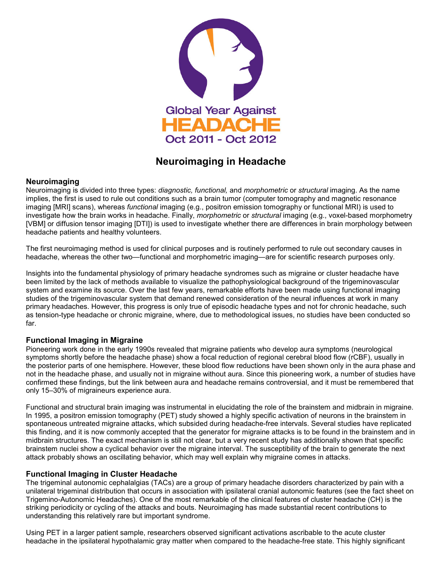

# **Neuroimaging in Headache**

### **Neuroimaging**

Neuroimaging is divided into three types: *diagnostic, functional,* and *morphometric* or *structural* imaging. As the name implies, the first is used to rule out conditions such as a brain tumor (computer tomography and magnetic resonance imaging [MRI] scans), whereas *functional* imaging (e.g., positron emission tomography or functional MRI) is used to investigate how the brain works in headache. Finally, *morphometric* or *structural* imaging (e.g., voxel-based morphometry [VBM] or diffusion tensor imaging [DTI]) is used to investigate whether there are differences in brain morphology between headache patients and healthy volunteers.

The first neuroimaging method is used for clinical purposes and is routinely performed to rule out secondary causes in headache, whereas the other two—functional and morphometric imaging—are for scientific research purposes only.

Insights into the fundamental physiology of primary headache syndromes such as migraine or cluster headache have been limited by the lack of methods available to visualize the pathophysiological background of the trigeminovascular system and examine its source. Over the last few years, remarkable efforts have been made using functional imaging studies of the trigeminovascular system that demand renewed consideration of the neural influences at work in many primary headaches. However, this progress is only true of episodic headache types and not for chronic headache, such as tension-type headache or chronic migraine, where, due to methodological issues, no studies have been conducted so far.

# **Functional Imaging in Migraine**

Pioneering work done in the early 1990s revealed that migraine patients who develop aura symptoms (neurological symptoms shortly before the headache phase) show a focal reduction of regional cerebral blood flow (rCBF), usually in the posterior parts of one hemisphere. However, these blood flow reductions have been shown only in the aura phase and not in the headache phase, and usually not in migraine without aura. Since this pioneering work, a number of studies have confirmed these findings, but the link between aura and headache remains controversial, and it must be remembered that only 15–30% of migraineurs experience aura.

Functional and structural brain imaging was instrumental in elucidating the role of the brainstem and midbrain in migraine. In 1995, a positron emission tomography (PET) study showed a highly specific activation of neurons in the brainstem in spontaneous untreated migraine attacks, which subsided during headache-free intervals. Several studies have replicated this finding, and it is now commonly accepted that the generator for migraine attacks is to be found in the brainstem and in midbrain structures. The exact mechanism is still not clear, but a very recent study has additionally shown that specific brainstem nuclei show a cyclical behavior over the migraine interval. The susceptibility of the brain to generate the next attack probably shows an oscillating behavior, which may well explain why migraine comes in attacks.

# **Functional Imaging in Cluster Headache**

The trigeminal autonomic cephalalgias (TACs) are a group of primary headache disorders characterized by pain with a unilateral trigeminal distribution that occurs in association with ipsilateral cranial autonomic features (see the fact sheet on Trigemino-Autonomic Headaches). One of the most remarkable of the clinical features of cluster headache (CH) is the striking periodicity or cycling of the attacks and bouts. Neuroimaging has made substantial recent contributions to understanding this relatively rare but important syndrome.

Using PET in a larger patient sample, researchers observed significant activations ascribable to the acute cluster headache in the ipsilateral hypothalamic gray matter when compared to the headache-free state. This highly significant